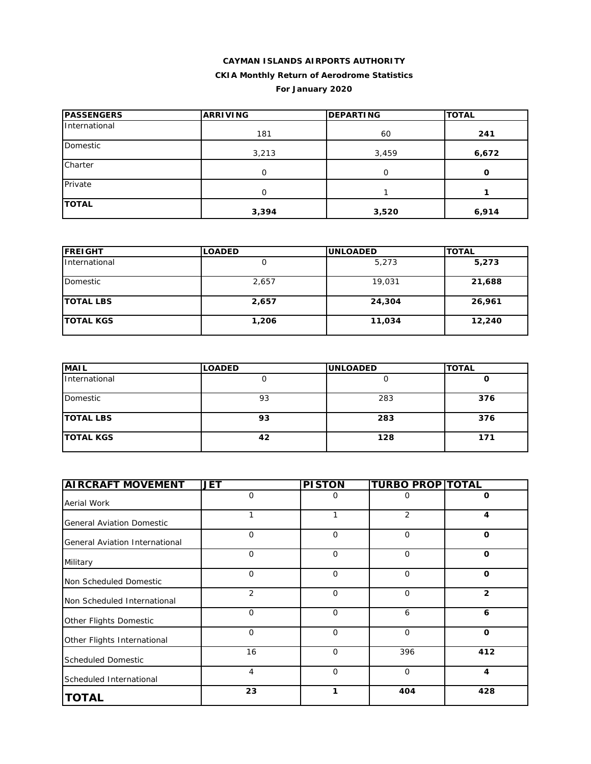# **CAYMAN ISLANDS AIRPORTS AUTHORITY CKIA Monthly Return of Aerodrome Statistics For January 2020**

| <b>PASSENGERS</b> | <b>ARRIVING</b> | <b>DEPARTING</b> | <b>TOTAL</b> |
|-------------------|-----------------|------------------|--------------|
| International     | 181             | 60               | 241          |
| Domestic          | 3,213           | 3,459            | 6,672        |
| Charter           | O               | 0                | $\mathbf{o}$ |
| Private           | O               |                  |              |
| <b>TOTAL</b>      | 3,394           | 3,520            | 6,914        |

| <b>IFREIGHT</b>  | <b>LOADED</b> | <b>IUNLOADED</b> | <b>TOTAL</b> |
|------------------|---------------|------------------|--------------|
| International    |               | 5,273            | 5,273        |
| Domestic         | 2,657         | 19,031           | 21,688       |
| <b>TOTAL LBS</b> | 2,657         | 24,304           | 26,961       |
| <b>TOTAL KGS</b> | 1,206         | 11,034           | 12,240       |

| <b>MAIL</b>      | <b>LOADED</b> | <b>UNLOADED</b> | <b>TOTAL</b> |
|------------------|---------------|-----------------|--------------|
| International    |               |                 | u            |
| Domestic         | 93            | 283             | 376          |
| <b>TOTAL LBS</b> | 93            | 283             | 376          |
| <b>TOTAL KGS</b> | 42            | 128             | 171          |

| <b>AIRCRAFT MOVEMENT</b>              | <b>JET</b>  | <b>PISTON</b> | <b>TURBO PROP TOTAL</b> |                |
|---------------------------------------|-------------|---------------|-------------------------|----------------|
| Aerial Work                           | $\Omega$    | 0             | 0                       | 0              |
| <b>General Aviation Domestic</b>      | 1           | 1             | 2                       | 4              |
| <b>General Aviation International</b> | $\Omega$    | $\Omega$      | $\Omega$                | $\Omega$       |
| Military                              | $\Omega$    | $\Omega$      | $\Omega$                | $\Omega$       |
| Non Scheduled Domestic                | $\mathbf 0$ | $\mathbf 0$   | $\mathbf 0$             | $\Omega$       |
| Non Scheduled International           | 2           | $\Omega$      | $\Omega$                | $\overline{2}$ |
| Other Flights Domestic                | $\Omega$    | $\Omega$      | 6                       | 6              |
| Other Flights International           | $\mathbf 0$ | $\mathbf 0$   | $\mathbf 0$             | $\mathbf 0$    |
| <b>Scheduled Domestic</b>             | 16          | $\Omega$      | 396                     | 412            |
| Scheduled International               | 4           | $\mathbf 0$   | $\mathbf 0$             | 4              |
| <b>TOTAL</b>                          | 23          | 1             | 404                     | 428            |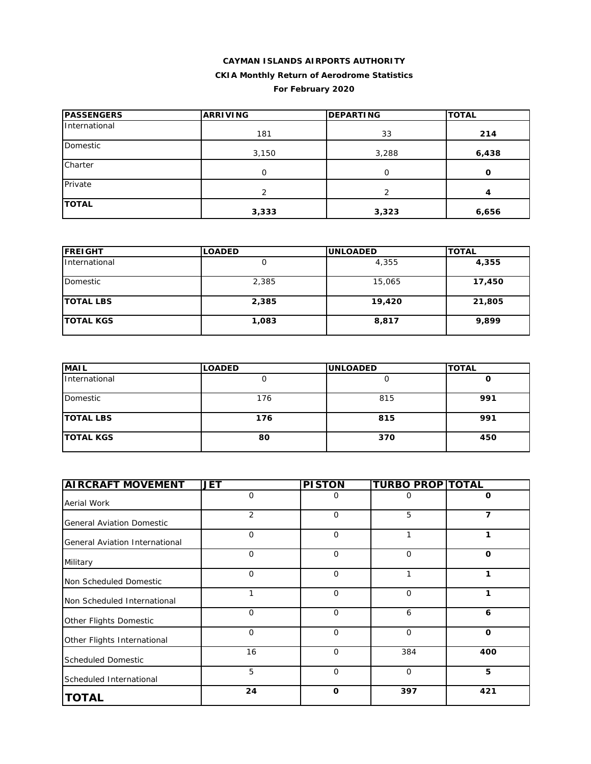# **CAYMAN ISLANDS AIRPORTS AUTHORITY CKIA Monthly Return of Aerodrome Statistics For February 2020**

| <b>PASSENGERS</b> | <b>ARRIVING</b> | <b>DEPARTING</b> | <b>TOTAL</b> |
|-------------------|-----------------|------------------|--------------|
| International     | 181             | 33               | 214          |
| Domestic          | 3,150           | 3,288            | 6,438        |
| Charter           | O               | ი                | O            |
| Private           | $\overline{2}$  | $\mathcal{P}$    | 4            |
| <b>TOTAL</b>      | 3,333           | 3,323            | 6,656        |

| <b>FREIGHT</b>   | <b>LOADED</b> | <b>UNLOADED</b> | <b>TOTAL</b> |
|------------------|---------------|-----------------|--------------|
| International    |               | 4,355           | 4,355        |
| Domestic         | 2,385         | 15,065          | 17,450       |
| <b>TOTAL LBS</b> | 2,385         | 19,420          | 21,805       |
| <b>TOTAL KGS</b> | 1,083         | 8,817           | 9,899        |

| <b>MAIL</b>      | <b>LOADED</b> | <b>UNLOADED</b> | <b>TOTAL</b> |
|------------------|---------------|-----------------|--------------|
| International    |               |                 | υ            |
| Domestic         | 176           | 815             | 991          |
| <b>TOTAL LBS</b> | 176           | 815             | 991          |
| <b>TOTAL KGS</b> | 80            | 370             | 450          |

| <b>AIRCRAFT MOVEMENT</b>         | <b>JET</b>     | <b>PISTON</b> | <b>TURBO PROP TOTAL</b> |             |
|----------------------------------|----------------|---------------|-------------------------|-------------|
| Aerial Work                      | 0              | 0             | 0                       | 0           |
| <b>General Aviation Domestic</b> | $\overline{2}$ | $\mathbf 0$   | 5                       | 7           |
| General Aviation International   | $\mathbf 0$    | $\mathbf 0$   | 1                       | 1           |
| Military                         | $\mathbf 0$    | $\Omega$      | $\Omega$                | $\Omega$    |
| Non Scheduled Domestic           | $\mathbf 0$    | $\mathbf 0$   | 1                       | 1           |
| Non Scheduled International      | 1              | $\mathbf 0$   | $\mathbf 0$             | 1           |
| Other Flights Domestic           | $\Omega$       | $\Omega$      | 6                       | 6           |
| Other Flights International      | $\mathbf 0$    | $\Omega$      | $\Omega$                | $\mathbf 0$ |
| <b>Scheduled Domestic</b>        | 16             | $\mathbf 0$   | 384                     | 400         |
| Scheduled International          | 5              | $\mathbf 0$   | $\mathbf 0$             | 5           |
| <b>TOTAL</b>                     | 24             | $\mathbf 0$   | 397                     | 421         |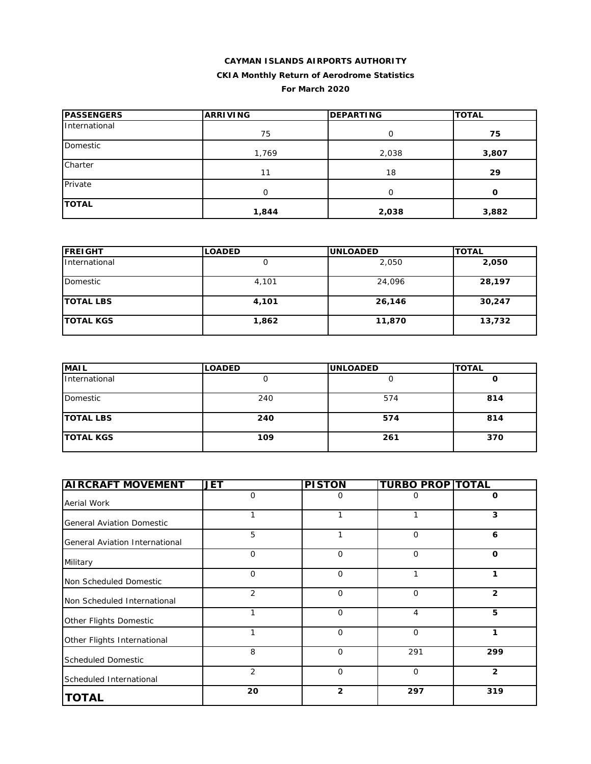# **CAYMAN ISLANDS AIRPORTS AUTHORITY CKIA Monthly Return of Aerodrome Statistics For March 2020**

| <b>PASSENGERS</b> | <b>ARRIVING</b> | <b>DEPARTING</b> | <b>TOTAL</b> |
|-------------------|-----------------|------------------|--------------|
| International     | 75              | 0                | 75           |
| Domestic          | 1,769           | 2,038            | 3,807        |
| Charter           | 11              | 18               | 29           |
| Private           | 0               | $\Omega$         | 0            |
| <b>TOTAL</b>      | 1,844           | 2,038            | 3,882        |

| <b>IFREIGHT</b>  | <b>LOADED</b> | <b>UNLOADED</b> | <b>TOTAL</b> |
|------------------|---------------|-----------------|--------------|
| International    |               | 2,050           | 2,050        |
| Domestic         | 4,101         | 24,096          | 28,197       |
| <b>TOTAL LBS</b> | 4,101         | 26,146          | 30,247       |
| <b>TOTAL KGS</b> | 1,862         | 11,870          | 13,732       |

| <b>MAIL</b>      | <b>LOADED</b> | <b>UNLOADED</b> | <b>TOTAL</b> |
|------------------|---------------|-----------------|--------------|
| International    |               |                 | u            |
| Domestic         | 240           | 574             | 814          |
| <b>TOTAL LBS</b> | 240           | 574             | 814          |
| <b>TOTAL KGS</b> | 109           | 261             | 370          |

| <b>AIRCRAFT MOVEMENT</b>         | <b>JET</b>  | <b>PISTON</b>  | <b>TURBO PROP TOTAL</b> |                |
|----------------------------------|-------------|----------------|-------------------------|----------------|
| Aerial Work                      | $\mathbf 0$ | 0              | 0                       | 0              |
| <b>General Aviation Domestic</b> | 1           |                |                         | 3              |
| General Aviation International   | 5           | 1              | $\mathbf 0$             | 6              |
| Military                         | $\mathbf 0$ | $\mathbf 0$    | $\mathbf 0$             | $\mathbf 0$    |
| Non Scheduled Domestic           | 0           | $\mathbf 0$    | 1                       | 1              |
| Non Scheduled International      | 2           | $\mathbf 0$    | 0                       | 2              |
| Other Flights Domestic           | 1           | $\mathbf 0$    | $\overline{4}$          | 5              |
| Other Flights International      | 1           | $\Omega$       | $\mathbf 0$             | 1              |
| <b>Scheduled Domestic</b>        | 8           | $\Omega$       | 291                     | 299            |
| Scheduled International          | 2           | $\mathbf 0$    | $\mathbf 0$             | $\overline{2}$ |
| <b>TOTAL</b>                     | 20          | $\overline{2}$ | 297                     | 319            |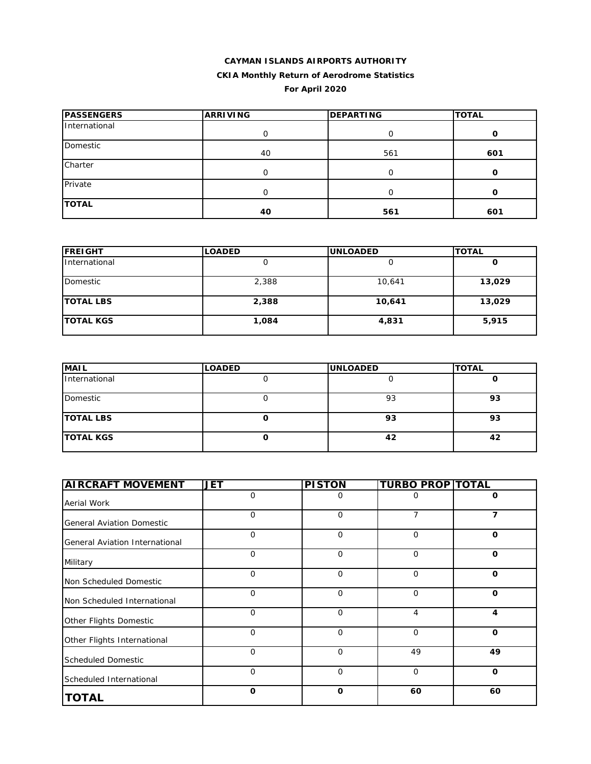# **CAYMAN ISLANDS AIRPORTS AUTHORITY CKIA Monthly Return of Aerodrome Statistics For April 2020**

| <b>PASSENGERS</b> | <b>ARRIVING</b> | <b>DEPARTING</b> | <b>TOTAL</b> |
|-------------------|-----------------|------------------|--------------|
| International     | 0               |                  | O            |
| Domestic          | 40              | 561              | 601          |
| Charter           | O               |                  | Ω            |
| Private           | 0               | O                | O            |
| <b>TOTAL</b>      | 40              | 561              | 601          |

| <b>FREIGHT</b>   | <b>LOADED</b> | <b>UNLOADED</b> | <b>TOTAL</b> |
|------------------|---------------|-----------------|--------------|
| International    |               |                 |              |
| Domestic         | 2,388         | 10,641          | 13,029       |
| <b>TOTAL LBS</b> | 2,388         | 10,641          | 13,029       |
| <b>TOTAL KGS</b> | 1,084         | 4,831           | 5,915        |

| <b>MAIL</b>      | <b>LOADED</b> | <b>UNLOADED</b> | <b>TOTAL</b> |
|------------------|---------------|-----------------|--------------|
| International    |               |                 |              |
| Domestic         |               | 93              | 93           |
| <b>TOTAL LBS</b> |               | 93              | 93           |
| <b>TOTAL KGS</b> |               | 42              | 42           |

| <b>AIRCRAFT MOVEMENT</b>         | <b>JET</b>  | <b>PISTON</b> | <b>TURBO PROP TOTAL</b> |             |
|----------------------------------|-------------|---------------|-------------------------|-------------|
| Aerial Work                      | $\mathbf 0$ | 0             | 0                       | $\mathbf 0$ |
| <b>General Aviation Domestic</b> | 0           | 0             | 7                       | 7           |
| General Aviation International   | $\mathbf 0$ | $\mathbf 0$   | $\mathbf 0$             | $\mathbf 0$ |
| Military                         | $\mathbf 0$ | $\mathbf 0$   | $\mathbf 0$             | $\mathbf 0$ |
| Non Scheduled Domestic           | $\mathbf 0$ | $\mathbf 0$   | $\mathbf 0$             | $\mathbf 0$ |
| Non Scheduled International      | 0           | $\mathbf 0$   | $\mathbf 0$             | $\mathbf 0$ |
| Other Flights Domestic           | $\mathbf 0$ | $\mathbf 0$   | 4                       | 4           |
| Other Flights International      | $\mathbf 0$ | $\mathbf 0$   | $\mathbf 0$             | $\mathbf 0$ |
| <b>Scheduled Domestic</b>        | $\mathbf 0$ | $\mathbf 0$   | 49                      | 49          |
| Scheduled International          | $\mathbf 0$ | $\mathbf{O}$  | $\mathbf 0$             | $\mathbf 0$ |
| <b>TOTAL</b>                     | O           | $\mathbf 0$   | 60                      | 60          |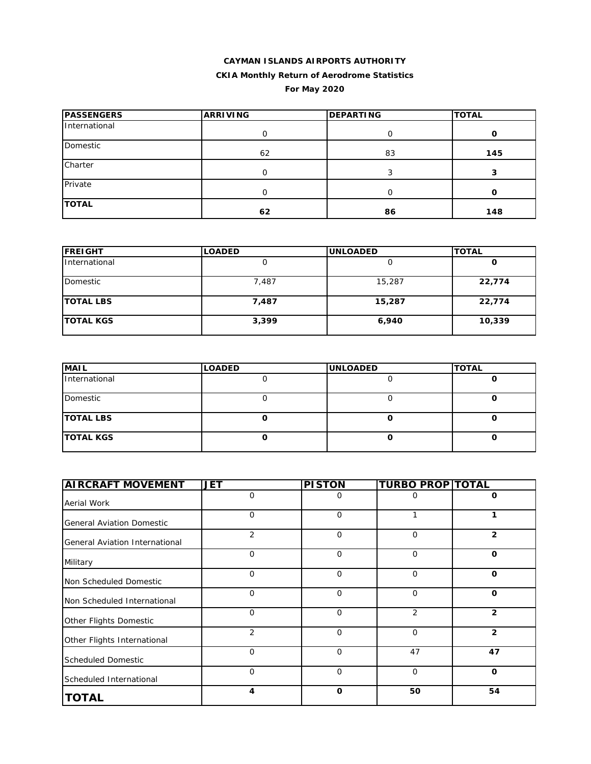# **CAYMAN ISLANDS AIRPORTS AUTHORITY CKIA Monthly Return of Aerodrome Statistics For May 2020**

| <b>PASSENGERS</b> | <b>ARRIVING</b> | <b>DEPARTING</b> | <b>TOTAL</b> |
|-------------------|-----------------|------------------|--------------|
| International     | 0               | O                | 0            |
| Domestic          | 62              | 83               | 145          |
| Charter           | U               |                  | э            |
| Private           | Ω               | O                | 0            |
| <b>TOTAL</b>      | 62              | 86               | 148          |

| <b>FREIGHT</b>   | <b>LOADED</b> | <b>UNLOADED</b> | <b>TOTAL</b> |
|------------------|---------------|-----------------|--------------|
| International    |               |                 | O            |
| Domestic         | 7,487         | 15,287          | 22,774       |
| <b>TOTAL LBS</b> | 7,487         | 15,287          | 22,774       |
| <b>TOTAL KGS</b> | 3,399         | 6,940           | 10,339       |

| <b>MAIL</b>      | <b>LOADED</b> | <b>UNLOADED</b> | <b>TOTAL</b> |
|------------------|---------------|-----------------|--------------|
| International    |               |                 |              |
| Domestic         |               |                 |              |
| <b>TOTAL LBS</b> |               |                 |              |
| <b>TOTAL KGS</b> |               |                 |              |

| <b>AIRCRAFT MOVEMENT</b>         | <b>JET</b>     | <b>PISTON</b> | <b>TURBO PROP TOTAL</b> |                |
|----------------------------------|----------------|---------------|-------------------------|----------------|
| Aerial Work                      | 0              | 0             | O                       | 0              |
| <b>General Aviation Domestic</b> | $\mathbf 0$    | 0             |                         | 1              |
| General Aviation International   | $\overline{2}$ | 0             | 0                       | $\overline{2}$ |
| Military                         | $\mathbf 0$    | $\mathbf 0$   | $\overline{O}$          | $\mathbf 0$    |
| Non Scheduled Domestic           | $\mathbf{O}$   | $\mathbf 0$   | $\mathbf 0$             | $\mathbf 0$    |
| Non Scheduled International      | $\mathbf 0$    | 0             | 0                       | $\mathbf 0$    |
| Other Flights Domestic           | $\mathbf 0$    | $\mathbf 0$   | 2                       | $\overline{2}$ |
| Other Flights International      | $\overline{2}$ | 0             | 0                       | $\overline{2}$ |
| <b>Scheduled Domestic</b>        | $\Omega$       | $\mathbf 0$   | 47                      | 47             |
| Scheduled International          | $\mathbf{O}$   | $\mathbf{O}$  | $\overline{O}$          | $\mathbf 0$    |
| <b>TOTAL</b>                     | 4              | $\mathbf 0$   | 50                      | 54             |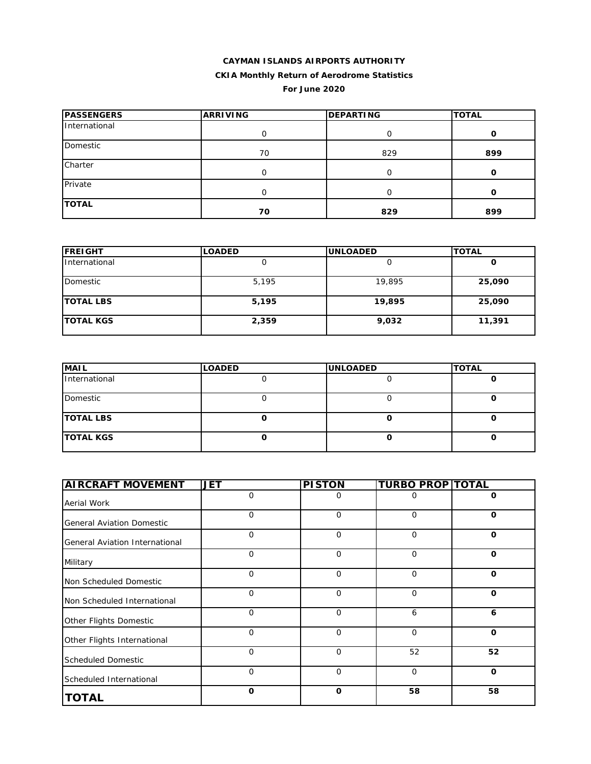#### **CAYMAN ISLANDS AIRPORTS AUTHORITY CKIA Monthly Return of Aerodrome Statistics**

**For June 2020**

| <b>IPASSENGERS</b> | <b>ARRIVING</b> | <b>DEPARTING</b> | <b>TOTAL</b> |
|--------------------|-----------------|------------------|--------------|
| International      |                 |                  |              |
| Domestic           | 70              | 829              | 899          |
| Charter            | ი               | O                | Ω            |
| Private            | O               | 0                | 0            |
| <b>TOTAL</b>       | 70              | 829              | 899          |

| <b>FREIGHT</b>   | <b>LOADED</b> | <b>UNLOADED</b> | <b>TOTAL</b> |
|------------------|---------------|-----------------|--------------|
| International    |               |                 | O            |
| Domestic         | 5,195         | 19,895          | 25,090       |
| <b>TOTAL LBS</b> | 5,195         | 19,895          | 25,090       |
| <b>TOTAL KGS</b> | 2,359         | 9,032           | 11,391       |

| <b>MAIL</b>      | <b>LOADED</b> | <b>UNLOADED</b> | <b>TOTAL</b> |
|------------------|---------------|-----------------|--------------|
| International    |               |                 |              |
| Domestic         |               |                 |              |
| <b>TOTAL LBS</b> |               |                 |              |
| <b>TOTAL KGS</b> |               |                 |              |

| <b>AIRCRAFT MOVEMENT</b>         | <b>JET</b>  | <b>PISTON</b> | <b>TURBO PROP TOTAL</b> |              |
|----------------------------------|-------------|---------------|-------------------------|--------------|
| Aerial Work                      | $\mathbf 0$ | 0             | 0                       | 0            |
| <b>General Aviation Domestic</b> | $\mathbf 0$ | $\mathbf 0$   | 0                       | 0            |
| General Aviation International   | $\Omega$    | $\mathbf 0$   | $\mathbf 0$             | $\mathbf 0$  |
| Military                         | $\Omega$    | $\mathbf 0$   | $\mathbf 0$             | $\Omega$     |
| Non Scheduled Domestic           | $\mathbf 0$ | $\mathbf 0$   | $\mathbf 0$             | $\mathbf 0$  |
| Non Scheduled International      | $\mathbf 0$ | $\mathbf 0$   | $\mathbf 0$             | $\mathbf 0$  |
| Other Flights Domestic           | $\mathbf 0$ | $\mathbf 0$   | 6                       | 6            |
| Other Flights International      | $\Omega$    | $\mathbf 0$   | $\mathbf 0$             | $\mathbf{o}$ |
| <b>Scheduled Domestic</b>        | $\Omega$    | $\Omega$      | 52                      | 52           |
| Scheduled International          | $\Omega$    | $\mathbf 0$   | $\mathbf 0$             | $\mathbf 0$  |
| <b>TOTAL</b>                     | $\mathbf 0$ | $\mathbf 0$   | 58                      | 58           |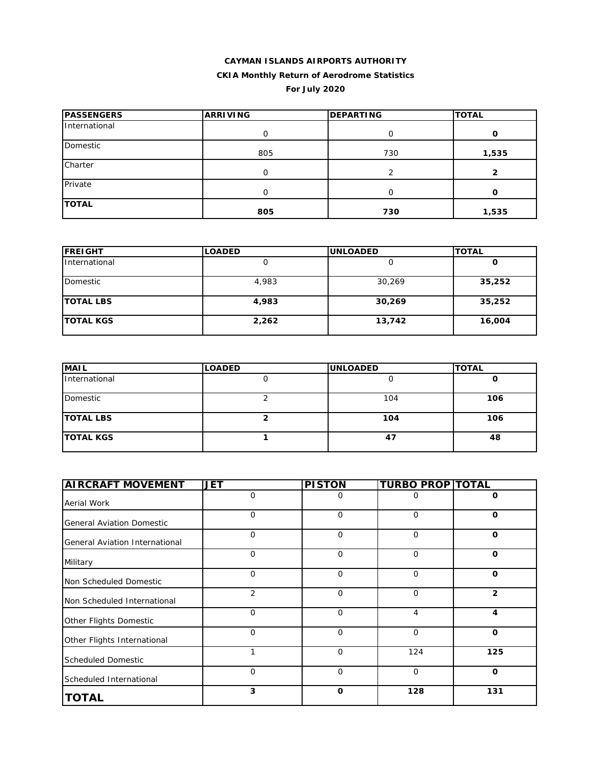# **CAYMAN ISLANDS AIRPORTS AUTHORITY CKIA Monthly Return of Aerodrome Statistics For July 2020**

| <b>PASSENGERS</b> | <b>ARRIVING</b> | <b>DEPARTING</b> | <b>TOTAL</b> |
|-------------------|-----------------|------------------|--------------|
| International     | O               | O                | 0            |
| Domestic          | 805             | 730              | 1,535        |
| Charter           | Ο               |                  | 2            |
| Private           | Ο               |                  | O            |
| <b>TOTAL</b>      | 805             | 730              | 1,535        |

| <b>FREIGHT</b>   | <b>LOADED</b> | <b>UNLOADED</b> | <b>TOTAL</b> |
|------------------|---------------|-----------------|--------------|
| International    |               |                 |              |
| Domestic         | 4,983         | 30,269          | 35,252       |
| <b>TOTAL LBS</b> | 4,983         | 30,269          | 35,252       |
| <b>TOTAL KGS</b> | 2,262         | 13,742          | 16,004       |

| <b>MAIL</b>      | <b>LOADED</b> | <b>UNLOADED</b> | <b>TOTAL</b> |
|------------------|---------------|-----------------|--------------|
| International    |               |                 |              |
| Domestic         |               | 104             | 106          |
| <b>TOTAL LBS</b> |               | 104             | 106          |
| <b>TOTAL KGS</b> |               | 47              | 48           |

| <b>AIRCRAFT MOVEMENT</b>         | <b>JET</b>  | <b>PISTON</b> | <b>TURBO PROP TOTAL</b> |              |
|----------------------------------|-------------|---------------|-------------------------|--------------|
| Aerial Work                      | $\mathbf 0$ | 0             | $\Omega$                | 0            |
| <b>General Aviation Domestic</b> | $\mathbf 0$ | $\mathbf 0$   | $\mathbf 0$             | $\mathbf 0$  |
| General Aviation International   | $\mathbf 0$ | $\mathbf 0$   | $\mathbf 0$             | $\mathbf 0$  |
| Military                         | $\mathbf 0$ | $\mathbf 0$   | $\mathbf 0$             | $\mathbf 0$  |
| Non Scheduled Domestic           | 0           | $\mathbf 0$   | $\mathbf 0$             | $\mathbf 0$  |
| Non Scheduled International      | 2           | $\mathbf 0$   | 0                       | $\mathbf{2}$ |
| Other Flights Domestic           | $\Omega$    | $\mathbf 0$   | 4                       | 4            |
| Other Flights International      | $\Omega$    | $\Omega$      | $\mathbf 0$             | $\Omega$     |
| <b>Scheduled Domestic</b>        | 1           | $\mathbf 0$   | 124                     | 125          |
| Scheduled International          | 0           | $\mathbf{O}$  | $\mathbf 0$             | $\mathbf 0$  |
| <b>TOTAL</b>                     | 3           | $\mathbf 0$   | 128                     | 131          |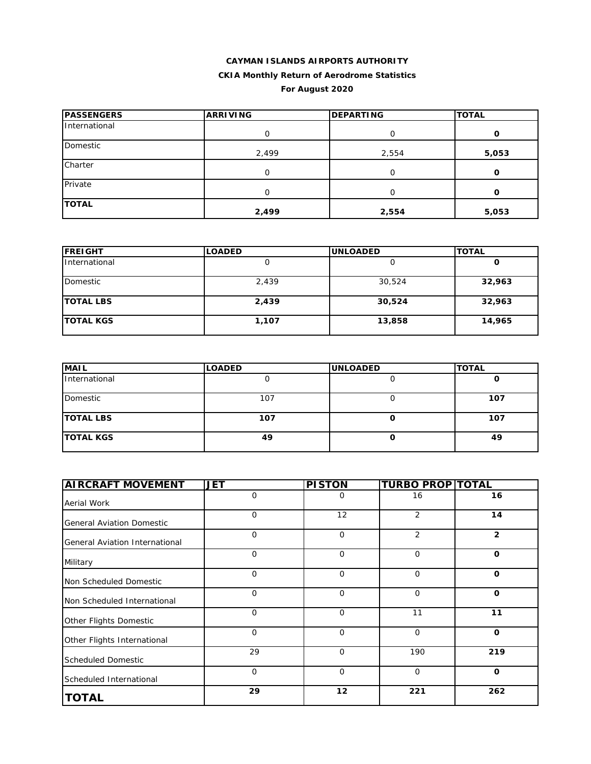### **CAYMAN ISLANDS AIRPORTS AUTHORITY CKIA Monthly Return of Aerodrome Statistics**

# **For August 2020**

| <b>PASSENGERS</b> | <b>ARRIVING</b> | <b>DEPARTING</b> | <b>TOTAL</b> |  |
|-------------------|-----------------|------------------|--------------|--|
| International     | 0               | Ο                | O            |  |
| Domestic          | 2,499           | 2,554            | 5,053        |  |
| Charter           | Ω               | O                | Ω            |  |
| Private           | Ω               | O                | Ω            |  |
| <b>TOTAL</b>      | 2,499           | 2,554            | 5,053        |  |

| <b>FREIGHT</b>   | <b>LOADED</b> | <b>UNLOADED</b> | <b>TOTAL</b> |
|------------------|---------------|-----------------|--------------|
| International    |               |                 |              |
| Domestic         | 2,439         | 30,524          | 32,963       |
| <b>TOTAL LBS</b> | 2,439         | 30,524          | 32,963       |
| <b>TOTAL KGS</b> | 1,107         | 13,858          | 14,965       |

| <b>MAIL</b>      | <b>LOADED</b> | <b>UNLOADED</b> | <b>TOTAL</b> |
|------------------|---------------|-----------------|--------------|
| International    |               |                 |              |
| Domestic         | 107           |                 | 107          |
| <b>TOTAL LBS</b> | 107           |                 | 107          |
| <b>TOTAL KGS</b> | 49            |                 | 49           |

| <b>AIRCRAFT MOVEMENT</b>         | <b>JET</b>  | <b>PISTON</b> | <b>TURBO PROP TOTAL</b> |                |
|----------------------------------|-------------|---------------|-------------------------|----------------|
| Aerial Work                      | 0           | 0             | 16                      | 16             |
| <b>General Aviation Domestic</b> | 0           | 12            | 2                       | 14             |
| General Aviation International   | 0           | $\mathbf 0$   | 2                       | $\overline{2}$ |
| Military                         | $\mathbf 0$ | $\Omega$      | $\mathbf 0$             | $\mathbf{o}$   |
| Non Scheduled Domestic           | 0           | $\mathbf 0$   | $\mathbf 0$             | $\mathbf 0$    |
| Non Scheduled International      | 0           | $\mathbf 0$   | $\mathbf 0$             | $\mathbf{o}$   |
| Other Flights Domestic           | $\mathbf 0$ | $\mathbf 0$   | 11                      | 11             |
| Other Flights International      | $\mathbf 0$ | $\Omega$      | $\mathbf 0$             | $\mathbf{o}$   |
| <b>Scheduled Domestic</b>        | 29          | $\Omega$      | 190                     | 219            |
| Scheduled International          | 0           | $\mathbf 0$   | $\mathbf 0$             | $\mathbf 0$    |
| <b>TOTAL</b>                     | 29          | 12            | 221                     | 262            |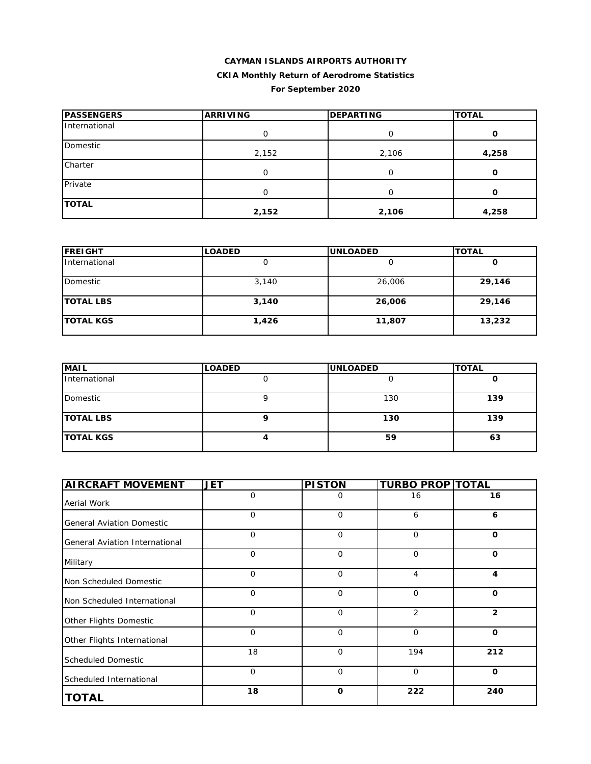# **CAYMAN ISLANDS AIRPORTS AUTHORITY CKIA Monthly Return of Aerodrome Statistics For September 2020**

| <b>PASSENGERS</b> | <b>ARRIVING</b> | <b>DEPARTING</b> | <b>TOTAL</b> |
|-------------------|-----------------|------------------|--------------|
| International     | 0               | O                | 0            |
| Domestic          | 2,152           | 2,106            | 4,258        |
| Charter           | 0               |                  | 0            |
| Private           | Ω               | O                | 0            |
| <b>TOTAL</b>      | 2,152           | 2,106            | 4,258        |

| <b>IFREIGHT</b>  | <b>LOADED</b> | <b>IUNLOADED</b> | <b>TOTAL</b> |
|------------------|---------------|------------------|--------------|
| International    |               |                  | O            |
| Domestic         | 3,140         | 26,006           | 29,146       |
| <b>TOTAL LBS</b> | 3,140         | 26,006           | 29,146       |
| <b>TOTAL KGS</b> | 1,426         | 11,807           | 13,232       |

| <b>MAIL</b>      | <b>LOADED</b> | <b>UNLOADED</b> | <b>TOTAL</b> |
|------------------|---------------|-----------------|--------------|
| International    |               |                 |              |
| Domestic         |               | 130             | 139          |
| <b>TOTAL LBS</b> |               | 130             | 139          |
| <b>TOTAL KGS</b> |               | 59              | 63           |

| <b>AIRCRAFT MOVEMENT</b>              | <b>JET</b>  | <b>PISTON</b> | <b>TURBO PROP TOTAL</b> |                |
|---------------------------------------|-------------|---------------|-------------------------|----------------|
| Aerial Work                           | 0           | 0             | 16                      | 16             |
| <b>General Aviation Domestic</b>      | 0           | $\mathbf 0$   | 6                       | 6              |
| <b>General Aviation International</b> | $\mathbf 0$ | $\mathbf 0$   | $\mathbf 0$             | $\mathbf 0$    |
| Military                              | $\mathbf 0$ | $\Omega$      | $\mathbf{O}$            | $\Omega$       |
| Non Scheduled Domestic                | $\mathbf 0$ | $\mathbf 0$   | 4                       | 4              |
| Non Scheduled International           | 0           | $\mathbf 0$   | $\mathbf{O}$            | $\mathbf 0$    |
| Other Flights Domestic                | $\mathbf 0$ | $\Omega$      | 2                       | $\overline{2}$ |
| Other Flights International           | $\mathbf 0$ | $\mathbf 0$   | $\mathbf 0$             | $\mathbf 0$    |
| <b>Scheduled Domestic</b>             | 18          | $\Omega$      | 194                     | 212            |
| Scheduled International               | 0           | $\Omega$      | $\mathbf 0$             | $\mathbf 0$    |
| <b>TOTAL</b>                          | 18          | $\mathbf 0$   | 222                     | 240            |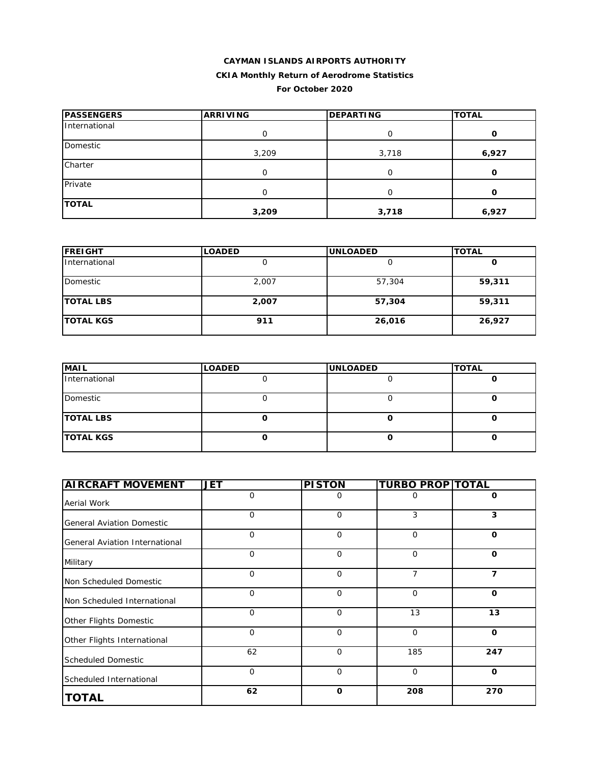# **CAYMAN ISLANDS AIRPORTS AUTHORITY CKIA Monthly Return of Aerodrome Statistics For October 2020**

| <b>PASSENGERS</b> | <b>ARRIVING</b> | <b>DEPARTING</b> | <b>TOTAL</b> |
|-------------------|-----------------|------------------|--------------|
| International     | O               | O                | 0            |
| Domestic          | 3,209           | 3,718            | 6,927        |
| Charter           | O               | O                | O            |
| Private           | O               |                  | 0            |
| <b>TOTAL</b>      | 3,209           | 3,718            | 6,927        |

| <b>FREIGHT</b>   | <b>LOADED</b> | <b>UNLOADED</b> | <b>TOTAL</b> |  |
|------------------|---------------|-----------------|--------------|--|
| International    |               |                 | O            |  |
| Domestic         | 2,007         | 57,304          | 59,311       |  |
| <b>TOTAL LBS</b> | 2,007         | 57,304          | 59,311       |  |
| <b>TOTAL KGS</b> | 911           | 26,016          | 26,927       |  |

| <b>MAIL</b>      | <b>LOADED</b> | <b>UNLOADED</b> | <b>TOTAL</b> |
|------------------|---------------|-----------------|--------------|
| International    |               |                 |              |
| Domestic         |               |                 |              |
| <b>TOTAL LBS</b> |               |                 |              |
| <b>TOTAL KGS</b> |               |                 |              |

| <b>AIRCRAFT MOVEMENT</b>         | <b>JET</b>   | <b>PISTON</b> | <b>TURBO PROP TOTAL</b> |              |
|----------------------------------|--------------|---------------|-------------------------|--------------|
| Aerial Work                      | 0            | 0             | O                       | 0            |
| <b>General Aviation Domestic</b> | $\mathbf{O}$ | $\mathbf{O}$  | 3                       | 3            |
| General Aviation International   | $\Omega$     | $\mathbf{O}$  | 0                       | $\mathbf 0$  |
| Military                         | $\mathbf 0$  | $\mathbf{O}$  | $\Omega$                | $\mathbf 0$  |
| Non Scheduled Domestic           | $\mathbf{O}$ | $\mathbf 0$   | 7                       | 7            |
| Non Scheduled International      | $\mathbf 0$  | 0             | 0                       | $\mathbf 0$  |
| Other Flights Domestic           | $\mathbf 0$  | $\mathbf 0$   | 13                      | 13           |
| Other Flights International      | $\mathbf 0$  | 0             | 0                       | $\mathbf{o}$ |
| <b>Scheduled Domestic</b>        | 62           | $\mathbf 0$   | 185                     | 247          |
| Scheduled International          | $\mathbf{O}$ | $\mathbf{O}$  | $\Omega$                | $\mathbf 0$  |
| <b>TOTAL</b>                     | 62           | $\mathbf 0$   | 208                     | 270          |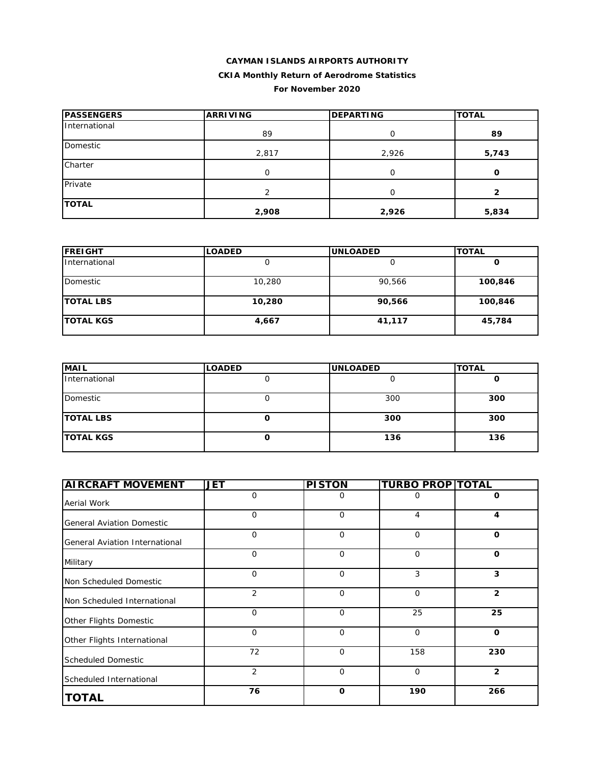#### **CAYMAN ISLANDS AIRPORTS AUTHORITY**

# **CKIA Monthly Return of Aerodrome Statistics**

#### **For November 2020**

| <b>PASSENGERS</b> | <b>ARRIVING</b> | <b>DEPARTING</b> | <b>TOTAL</b> |
|-------------------|-----------------|------------------|--------------|
| International     | 89              | $\Omega$         | 89           |
| Domestic          | 2,817           | 2,926            | 5,743        |
| Charter           | O               | $\Omega$         | O            |
| Private           | 2               | $\Omega$         | 2            |
| <b>TOTAL</b>      | 2,908           | 2,926            | 5,834        |

| <b>FREIGHT</b>   | <b>LOADED</b> | <b>IUNLOADED</b> | <b>TOTAL</b> |  |
|------------------|---------------|------------------|--------------|--|
| International    |               |                  | O            |  |
| Domestic         | 10,280        | 90,566           | 100,846      |  |
| <b>TOTAL LBS</b> | 10,280        | 90,566           | 100,846      |  |
| <b>TOTAL KGS</b> | 4,667         | 41,117           | 45,784       |  |

| <b>MAIL</b>      | <b>LOADED</b> | <b>UNLOADED</b> | <b>TOTAL</b> |
|------------------|---------------|-----------------|--------------|
| International    |               |                 |              |
| Domestic         |               | 300             | 300          |
| <b>TOTAL LBS</b> |               | 300             | 300          |
| <b>TOTAL KGS</b> |               | 136             | 136          |

| <b>AIRCRAFT MOVEMENT</b>         | <b>JET</b>     | <b>PISTON</b> | <b>TURBO PROP TOTAL</b> |                |
|----------------------------------|----------------|---------------|-------------------------|----------------|
| Aerial Work                      | 0              | 0             | 0                       | 0              |
| <b>General Aviation Domestic</b> | 0              | $\mathbf 0$   | 4                       | 4              |
| General Aviation International   | $\mathbf{O}$   | $\Omega$      | $\mathbf 0$             | O              |
| Military                         | $\mathbf{O}$   | $\Omega$      | $\mathbf 0$             | $\mathbf{o}$   |
| Non Scheduled Domestic           | $\mathbf{O}$   | $\mathbf 0$   | 3                       | 3              |
| Non Scheduled International      | 2              | $\mathbf 0$   | $\mathbf 0$             | $\mathbf{2}$   |
| Other Flights Domestic           | $\mathbf{O}$   | $\mathbf 0$   | 25                      | 25             |
| Other Flights International      | $\mathbf 0$    | $\mathbf 0$   | $\mathbf 0$             | $\mathbf{o}$   |
| <b>Scheduled Domestic</b>        | 72             | $\Omega$      | 158                     | 230            |
| Scheduled International          | $\overline{2}$ | $\mathbf 0$   | $\mathbf 0$             | $\overline{2}$ |
| <b>TOTAL</b>                     | 76             | $\Omega$      | 190                     | 266            |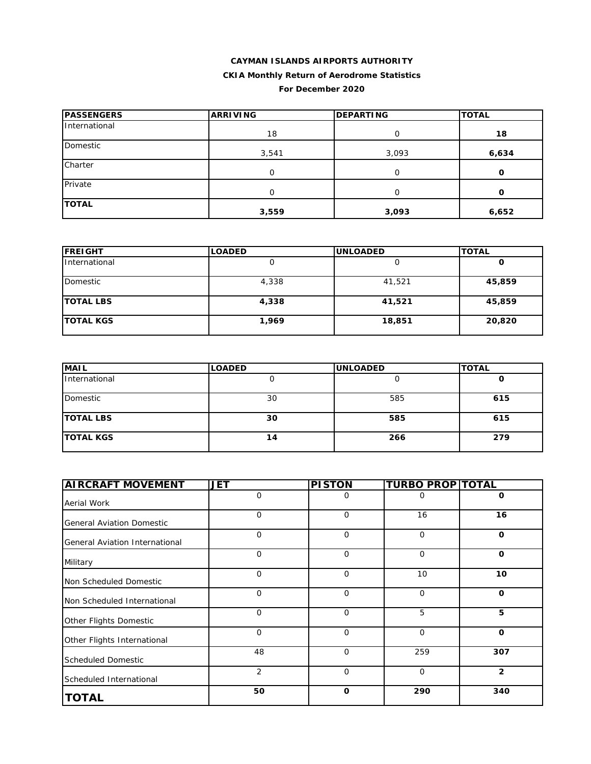# **CAYMAN ISLANDS AIRPORTS AUTHORITY CKIA Monthly Return of Aerodrome Statistics For December 2020**

| <b>PASSENGERS</b> | <b>ARRIVING</b> | <b>DEPARTING</b> | <b>TOTAL</b> |
|-------------------|-----------------|------------------|--------------|
| International     | 18              | O                | 18           |
| Domestic          | 3,541           | 3,093            | 6,634        |
| Charter           | 0               | O                | 0            |
| Private           | $\Omega$        | O                | Ω            |
| <b>TOTAL</b>      | 3,559           | 3,093            | 6,652        |

| <b>FREIGHT</b>   | <b>LOADED</b> | <b>UNLOADED</b> | <b>TOTAL</b> |
|------------------|---------------|-----------------|--------------|
| International    | U             |                 | υ            |
| Domestic         | 4,338         | 41,521          | 45,859       |
| <b>TOTAL LBS</b> | 4,338         | 41,521          | 45,859       |
| <b>TOTAL KGS</b> | 1,969         | 18,851          | 20,820       |

| <b>MAIL</b>      | <b>LOADED</b> | <b>UNLOADED</b> | <b>TOTAL</b> |
|------------------|---------------|-----------------|--------------|
| International    | U             |                 | u            |
| Domestic         | 30            | 585             | 615          |
| <b>TOTAL LBS</b> | 30            | 585             | 615          |
| <b>TOTAL KGS</b> | 14            | 266             | 279          |

| <b>AIRCRAFT MOVEMENT</b>              | <b>JET</b>     | <b>PISTON</b> | <b>TURBO PROP TOTAL</b> |                |
|---------------------------------------|----------------|---------------|-------------------------|----------------|
| Aerial Work                           | $\mathbf{O}$   | 0             | 0                       | O              |
| <b>General Aviation Domestic</b>      | $\Omega$       | $\mathbf{O}$  | 16                      | 16             |
| <b>General Aviation International</b> | $\mathbf 0$    | $\mathbf{O}$  | $\mathbf{O}$            | $\mathbf 0$    |
| Military                              | $\mathbf 0$    | $\mathbf{O}$  | $\mathbf{O}$            | $\mathbf 0$    |
| Non Scheduled Domestic                | $\Omega$       | $\mathbf{O}$  | 10                      | 10             |
| Non Scheduled International           | $\mathbf 0$    | $\mathbf{O}$  | $\mathbf 0$             | $\mathbf{o}$   |
| Other Flights Domestic                | $\mathbf 0$    | $\mathbf 0$   | 5                       | 5              |
| Other Flights International           | $\Omega$       | $\Omega$      | $\Omega$                | $\Omega$       |
| <b>Scheduled Domestic</b>             | 48             | $\mathbf 0$   | 259                     | 307            |
| Scheduled International               | $\overline{2}$ | $\mathbf{O}$  | $\mathbf 0$             | $\overline{2}$ |
| <b>TOTAL</b>                          | 50             | $\mathbf 0$   | 290                     | 340            |